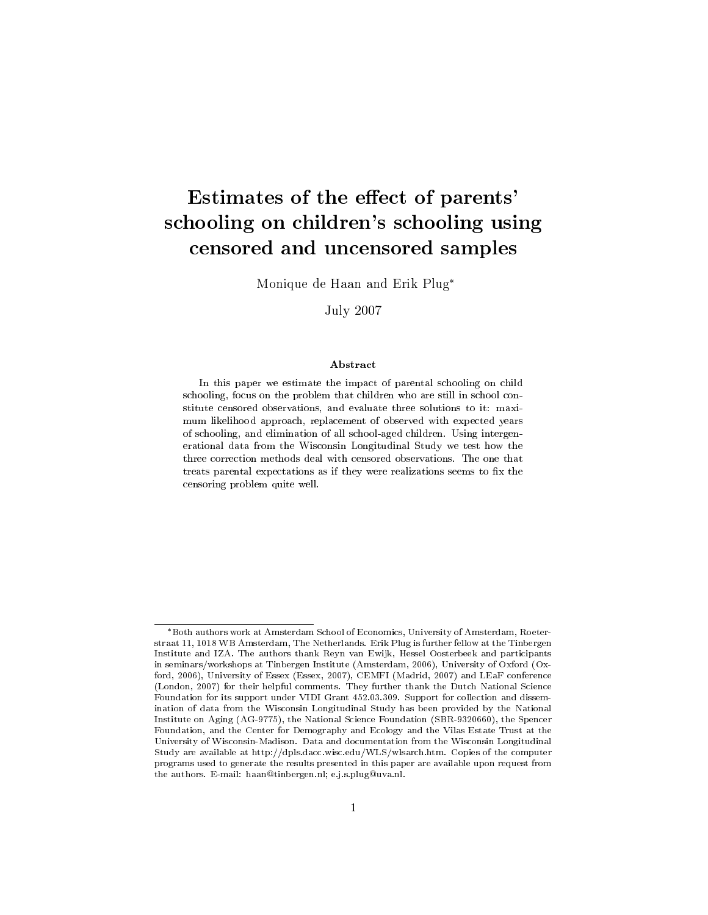# Estimates of the effect of parents' schooling on children's schooling using censored and uncensored samples

Monique de Haan and Erik Plug

July 2007

#### Abstract

In this paper we estimate the impact of parental schooling on child schooling, focus on the problem that children who are still in school constitute censored observations, and evaluate three solutions to it: maximum likelihood approach, replacement of observed with expected years of schooling, and elimination of all school-aged children. Using intergenerational data from the Wisconsin Longitudinal Study we test how the three correction methods deal with censored observations. The one that treats parental expectations as if they were realizations seems to fix the censoring problem quite well.

Both authors work at Amsterdam School of Economics, University of Amsterdam, Roeterstraat 11, 1018 WB Amsterdam, The Netherlands. Erik Plug is further fellow at the Tinbergen Institute and IZA. The authors thank Reyn van Ewijk, Hessel Oosterbeek and participants in seminars/workshops at Tinbergen Institute (Amsterdam, 2006), University of Oxford (Oxford, 2006), University of Essex (Essex, 2007), CEMFI (Madrid, 2007) and LEaF conference (London, 2007) for their helpful comments. They further thank the Dutch National Science Foundation for its support under VIDI Grant 452.03.309. Support for collection and dissemination of data from the Wisconsin Longitudinal Study has been provided by the National Institute on Aging (AG-9775), the National Science Foundation (SBR-9320660), the Spencer Foundation, and the Center for Demography and Ecology and the Vilas Estate Trust at the University of Wisconsin-Madison. Data and documentation from the Wisconsin Longitudinal Study are available at http://dpls.dacc.wisc.edu/WLS/wlsarch.htm. Copies of the computer programs used to generate the results presented in this paper are available upon request from the authors. E-mail: haan@tinbergen.nl; e.j.s.plug@uva.nl.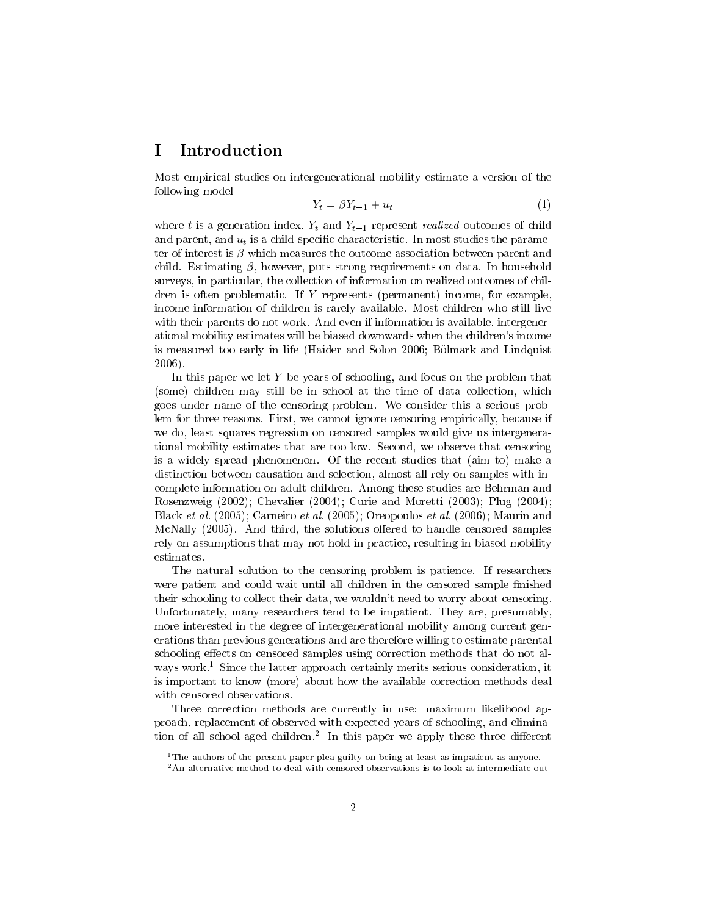### I Introduction

Most empirical studies on intergenerational mobility estimate a version of the following model

$$
Y_t = \beta Y_{t-1} + u_t \tag{1}
$$

where t is a generation index,  $Y_t$  and  $Y_{t-1}$  represent *realized* outcomes of child and parent, and  $u_t$  is a child-specific characteristic. In most studies the parameter of interest is  $\beta$  which measures the outcome association between parent and child. Estimating  $\beta$ , however, puts strong requirements on data. In household surveys, in particular, the collection of information on realized outcomes of children is often problematic. If <sup>Y</sup> represents (permanent) income, for example, income information of children is rarely available. Most children who still live with their parents do not work. And even if information is available, intergenerational mobility estimates will be biased downwards when the children's income is measured too early in life (Haider and Solon 2006; Bölmark and Lindquist 2006).

In this paper we let  $Y$  be years of schooling, and focus on the problem that (some) children may still be in school at the time of data collection, which goes under name of the censoring problem. We consider this a serious problem for three reasons. First, we cannot ignore censoring empirically, because if we do, least squares regression on censored samples would give us intergenerational mobility estimates that are too low. Second, we observe that censoring is a widely spread phenomenon. Of the recent studies that (aim to) make a distinction between causation and selection, almost all rely on samples with incomplete information on adult children. Among these studies are Behrman and Rosenzweig (2002); Chevalier (2004); Curie and Moretti (2003); Plug (2004); Black et al. (2005); Carneiro et al. (2005); Oreopoulos et al. (2006); Maurin and McNally  $(2005)$ . And third, the solutions offered to handle censored samples rely on assumptions that may not hold in practice, resulting in biased mobility estimates.

The natural solution to the censoring problem is patience. If researchers were patient and could wait until all children in the censored sample finished their schooling to collect their data, we wouldn't need to worry about censoring. Unfortunately, many researchers tend to be impatient. They are, presumably, more interested in the degree of intergenerational mobility among current generations than previous generations and are therefore willing to estimate parental schooling effects on censored samples using correction methods that do not always work.<sup>1</sup> Since the latter approach certainly merits serious consideration, it is important to know (more) about how the available correction methods deal with censored observations.

Three correction methods are currently in use: maximum likelihood approach, replacement of observed with expected years of schooling, and elimination of all school-aged children.<sup>2</sup> In this paper we apply these three different

 $1$ The authors of the present paper plea guilty on being at least as impatient as anyone.

 $2$ An alternative method to deal with censored observations is to look at intermediate out-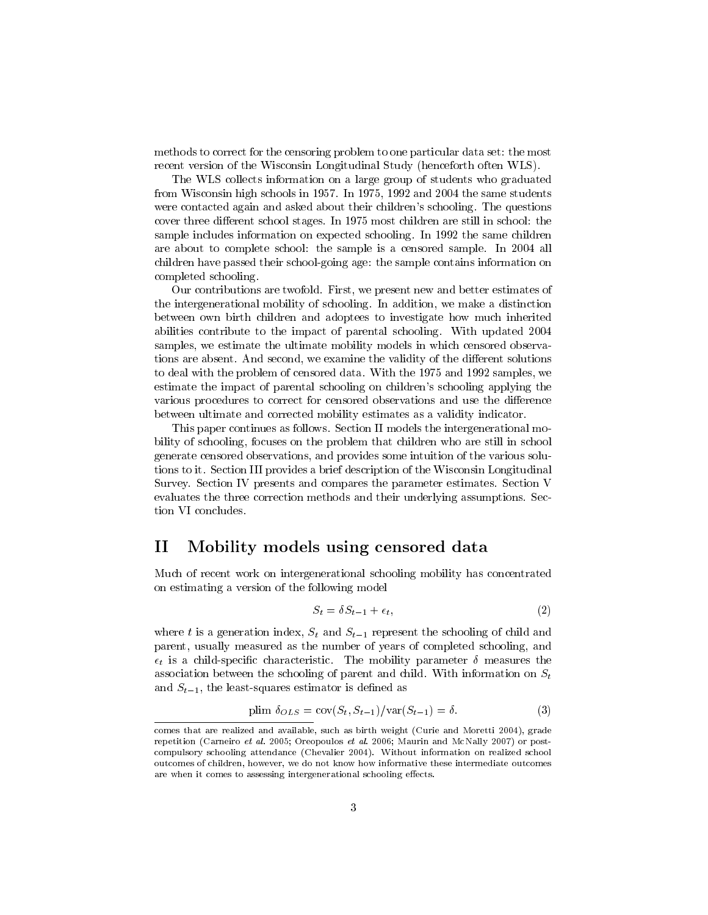methods to correct for the censoring problem to one particular data set: the most recent version of the Wisconsin Longitudinal Study (henceforth often WLS).

The WLS collects information on a large group of students who graduated from Wisconsin high schools in 1957. In 1975, 1992 and 2004 the same students were contacted again and asked about their children's schooling. The questions cover three different school stages. In 1975 most children are still in school: the sample includes information on expected schooling. In 1992 the same children are about to complete school: the sample is a censored sample. In 2004 all children have passed their school-going age: the sample contains information on completed schooling.

Our contributions are twofold. First, we present new and better estimates of the intergenerational mobility of schooling. In addition, we make a distinction between own birth children and adoptees to investigate how much inherited abilities contribute to the impact of parental schooling. With updated 2004 samples, we estimate the ultimate mobility models in which censored observations are absent. And second, we examine the validity of the different solutions to deal with the problem of censored data. With the 1975 and 1992 samples, we estimate the impact of parental schooling on children's schooling applying the various procedures to correct for censored observations and use the difference between ultimate and corrected mobility estimates as a validity indicator.

This paper continues as follows. Section II models the intergenerational mobility of schooling, focuses on the problem that children who are still in school generate censored observations, and provides some intuition of the various solutions to it. Section III provides a brief description of the Wisconsin Longitudinal Survey. Section IV presents and compares the parameter estimates. Section V evaluates the three correction methods and their underlying assumptions. Section VI concludes.

### II Mobility models using censored data

Much of recent work on intergenerational schooling mobility has concentrated on estimating a version of the following model

$$
S_t = \delta S_{t-1} + \epsilon_t,\tag{2}
$$

where t is a generation index,  $S_t$  and  $S_{t-1}$  represent the schooling of child and parent, usually measured as the number of years of completed schooling, and  $\epsilon_t$  is a child-specific characteristic. The mobility parameter  $\delta$  measures the association between the schooling of parent and child. With information on  $S_t$ and  $S_{t-1}$ , the least-squares estimator is defined as

$$
\text{plim } \delta_{OLS} = \text{cov}(S_t, S_{t-1}) / \text{var}(S_{t-1}) = \delta. \tag{3}
$$

comes that are realized and available, such as birth weight (Curie and Moretti 2004), grade repetition (Carneiro et al. 2005; Oreopoulos et al. 2006; Maurin and McNally 2007) or postcompulsory schooling attendance (Chevalier 2004). Without information on realized school outcomes of children, however, we do not know how informative these intermediate outcomes are when it comes to assessing intergenerational schooling effects.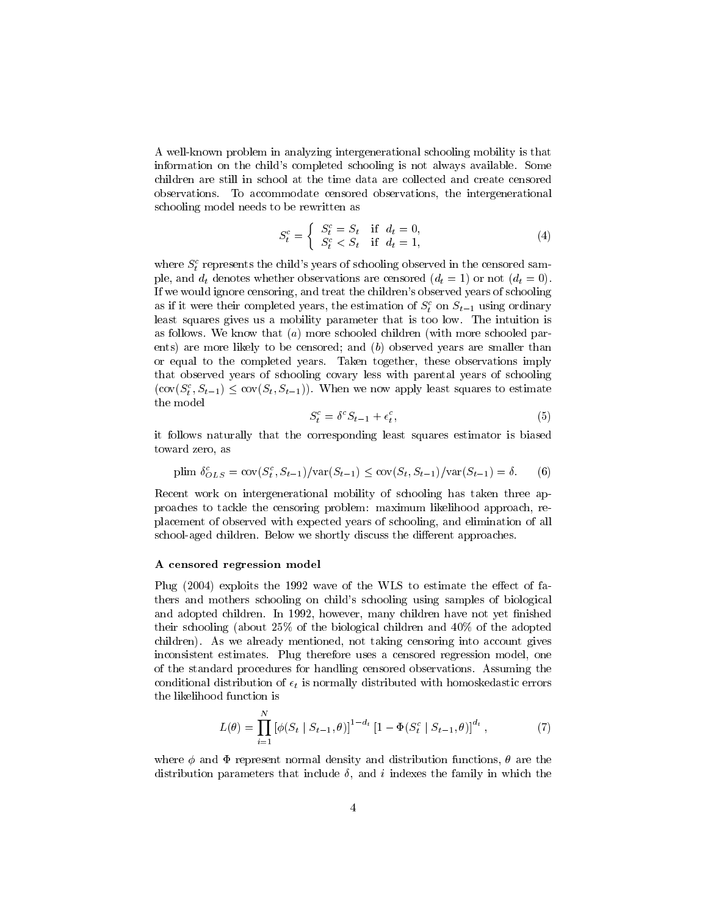A well-known problem in analyzing intergenerational schooling mobility is that information on the child's completed schooling is not always available. Some children are still in school at the time data are collected and create censored observations. To accommodate censored observations, the intergenerational schooling model needs to be rewritten as

$$
S_t^c = \begin{cases} S_t^c = S_t & \text{if } d_t = 0, \\ S_t^c < S_t & \text{if } d_t = 1, \end{cases} \tag{4}
$$

where  $S_t^c$  represents the child's years of schooling observed in the censored sample, and  $d_t$  denotes whether observations are censored  $(d_t = 1)$  or not  $(d_t = 0)$ . If we would ignore censoring, and treat the children's observed years of schooling as if it were their completed years, the estimation of  $S_t^c$  on  $S_{t-1}$  using ordinary least squares gives us a mobility parameter that is too low. The intuition is as follows. We know that (a) more schooled children (with more schooled parents) are more likely to be censored; and (b) observed years are smaller than or equal to the completed years. Taken together, these observations imply that observed years of schooling covary less with parental years of schooling  $(\text{cov}(S_t^c, S_{t-1}) \leq \text{cov}(S_t, S_{t-1}))$ . When we now apply least squares to estimate t the model

$$
S_t^c = \delta^c S_{t-1} + \epsilon_t^c,\tag{5}
$$

it follows naturally that the corresponding least squares estimator is biased toward zero, as

$$
\text{plim }\delta_{OLS}^c = \text{cov}(S_t^c, S_{t-1})/\text{var}(S_{t-1}) \leq \text{cov}(S_t, S_{t-1})/\text{var}(S_{t-1}) = \delta. \tag{6}
$$

Recent work on intergenerational mobility of schooling has taken three approaches to tackle the censoring problem: maximum likelihood approach, replacement of observed with expected years of schooling, and elimination of all school-aged children. Below we shortly discuss the different approaches.

#### A censored regression model

Plug  $(2004)$  exploits the 1992 wave of the WLS to estimate the effect of fathers and mothers schooling on child's schooling using samples of biological and adopted children. In 1992, however, many children have not yet finished their schooling (about 25% of the biological children and 40% of the adopted children). As we already mentioned, not taking censoring into account gives inconsistent estimates. Plug therefore uses a censored regression model, one of the standard procedures for handling censored observations. Assuming the conditional distribution of  $\epsilon_t$  is normally distributed with homoskedastic errors the likelihood function is

$$
L(\theta) = \prod_{i=1}^{N} \left[ \phi(S_t \mid S_{t-1}, \theta) \right]^{1-d_t} \left[ 1 - \Phi(S_t^c \mid S_{t-1}, \theta) \right]^{d_t},\tag{7}
$$

where  $\phi$  and  $\Phi$  represent normal density and distribution functions,  $\theta$  are the distribution parameters that include  $\delta$ , and i indexes the family in which the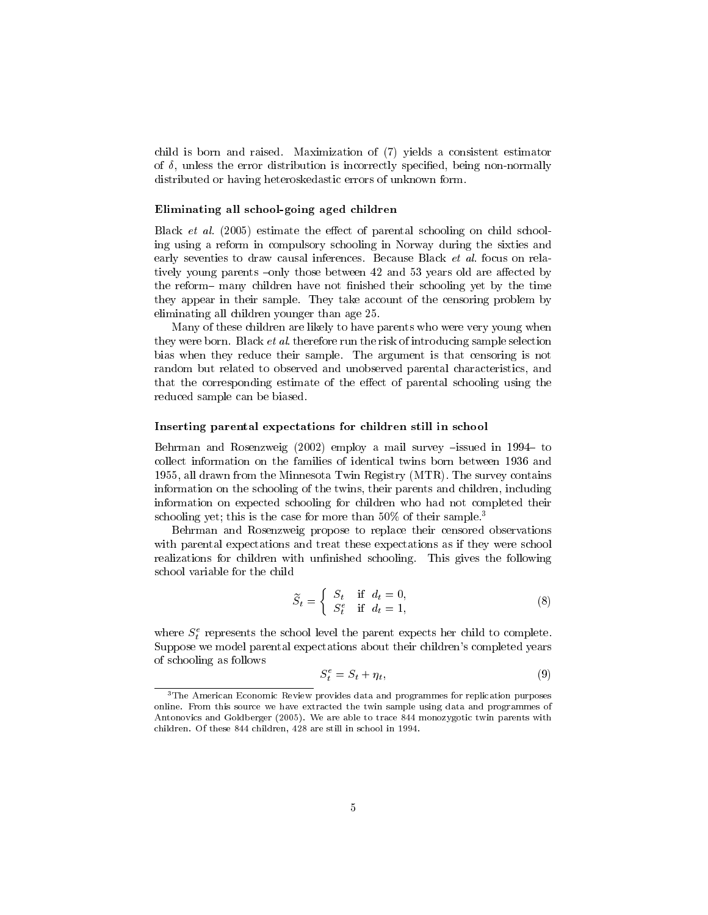child is born and raised. Maximization of (7) yields a consistent estimator of  $\delta$ , unless the error distribution is incorrectly specified, being non-normally distributed or having heteroskedastic errors of unknown form.

#### Eliminating all school-going aged children

Black *et al.* (2005) estimate the effect of parental schooling on child schooling using a reform in compulsory schooling in Norway during the sixties and early seventies to draw causal inferences. Because Black et al. focus on relatively young parents  $\sim$ only those between 42 and 53 years old are affected by the reform- many children have not finished their schooling yet by the time they appear in their sample. They take account of the censoring problem by eliminating all children younger than age 25.

Many of these children are likely to have parents who were very young when they were born. Black et al. therefore run the risk of introducing sample selection bias when they reduce their sample. The argument is that censoring is not random but related to observed and unobserved parental characteristics, and that the corresponding estimate of the effect of parental schooling using the reduced sample can be biased.

#### Inserting parental expectations for children still in school

Behrman and Rosenzweig  $(2002)$  employ a mail survey  $-i$ ssued in 1994– to collect information on the families of identical twins born between 1936 and 1955, all drawn from the Minnesota Twin Registry (MTR). The survey contains information on the schooling of the twins, their parents and children, including information on expected schooling for children who had not completed their schooling yet; this is the case for more than  $50\%$  of their sample.<sup>3</sup>

Behrman and Rosenzweig propose to replace their censored observations with parental expectations and treat these expectations as if they were school realizations for children with unfinished schooling. This gives the following school variable for the child

$$
\widetilde{S}_t = \begin{cases}\nS_t & \text{if } d_t = 0, \\
S_t^e & \text{if } d_t = 1,\n\end{cases}
$$
\n(8)

where  $S_t^e$  represents the school level the parent expects her child to complete. Suppose we model parental expectations about their children's completed years of schooling as follows

$$
S_t^e = S_t + \eta_t,\tag{9}
$$

<sup>3</sup>The American Economic Review provides data and programmes for replication purposes online. From this source we have extracted the twin sample using data and programmes of Antonovics and Goldberger (2005). We are able to trace 844 monozygotic twin parents with children. Of these 844 children, 428 are still in school in 1994.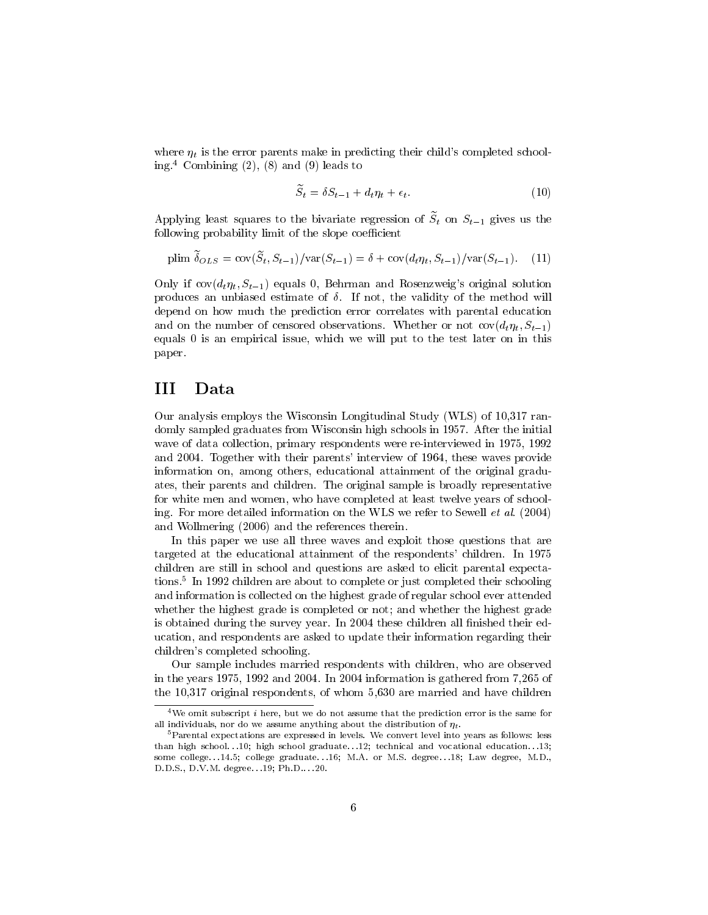where  $\eta_t$  is the error parents make in predicting their child's completed schooling.<sup>4</sup> Combining (2), (8) and (9) leads to

$$
\widetilde{S}_t = \delta S_{t-1} + d_t \eta_t + \epsilon_t. \tag{10}
$$

Applying least squares to the bivariate regression of  $\widetilde{S}_t$  on  $S_{t-1}$  gives us the following probability limit of the slope coefficient

plim 
$$
\tilde{\delta}_{OLS} = \text{cov}(\tilde{S}_t, S_{t-1})/\text{var}(S_{t-1}) = \delta + \text{cov}(d_t \eta_t, S_{t-1})/\text{var}(S_{t-1}).
$$
 (11)

Only if  $cov(d_t\eta_t, S_{t-1})$  equals 0, Behrman and Rosenzweig's original solution produces an unbiased estimate of  $\delta$ . If not, the validity of the method will depend on how much the prediction error correlates with parental education and on the number of censored observations. Whether or not  $\text{cov}(d_t\eta_t, S_{t-1})$ equals 0 is an empirical issue, which we will put to the test later on in this paper.

### III Data

Our analysis employs the Wisconsin Longitudinal Study (WLS) of 10,317 randomly sampled graduates from Wisconsin high schools in 1957. After the initial wave of data collection, primary respondents were re-interviewed in 1975, 1992 and 2004. Together with their parents' interview of 1964, these waves provide information on, among others, educational attainment of the original graduates, their parents and children. The original sample is broadly representative for white men and women, who have completed at least twelve years of schooling. For more detailed information on the WLS we refer to Sewell et al. (2004) and Wollmering (2006) and the references therein.

In this paper we use all three waves and exploit those questions that are targeted at the educational attainment of the respondents' children. In 1975 children are still in school and questions are asked to elicit parental expectations.<sup>5</sup> In 1992 children are about to complete or just completed their schooling and information is collected on the highest grade of regular school ever attended whether the highest grade is completed or not; and whether the highest grade is obtained during the survey year. In 2004 these children all finished their education, and respondents are asked to update their information regarding their children's completed schooling.

Our sample includes married respondents with children, who are observed in the years 1975, 1992 and 2004. In 2004 information is gathered from 7,265 of the 10,317 original respondents, of whom 5,630 are married and have children

 $4$ We omit subscript *i* here, but we do not assume that the prediction error is the same for all individuals, nor do we assume anything about the distribution of  $\eta_t$ .

 $5$ Parental expectations are expressed in levels. We convert level into years as follows: less than high school.  $.10$ ; high school graduate.  $.12$ ; technical and vocational education.  $.13$ ; some college. : 14.5; college graduate. . 16; M.A. or M.S. degree. . 18; Law degree, M.D., D.D.S., D.V.M. degree. . . 19; Ph.D.. . . 20.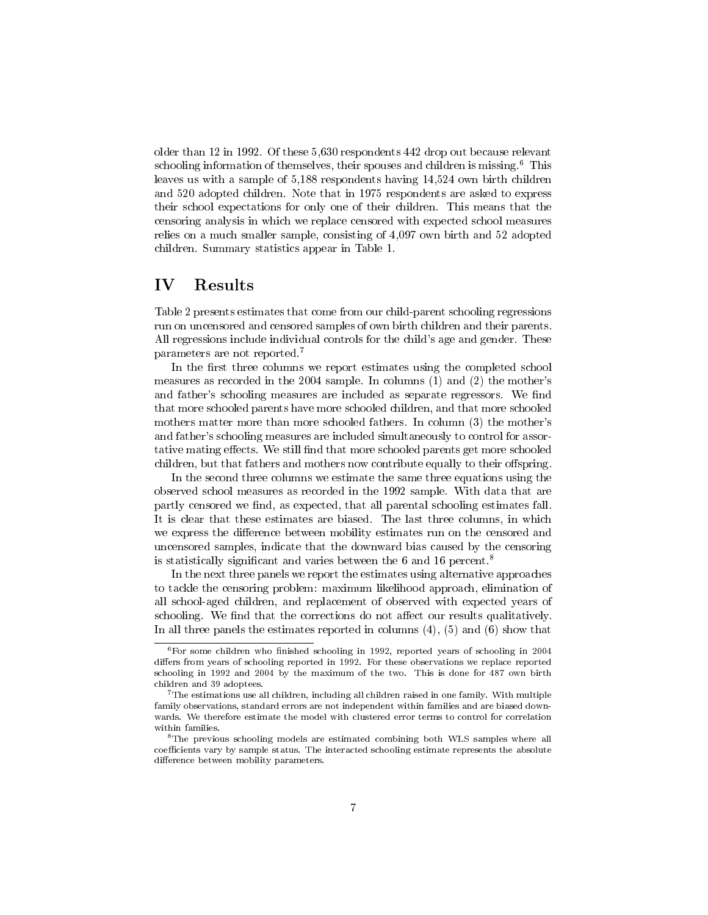older than 12 in 1992. Of these 5,630 respondents 442 drop out because relevant schooling information of themselves, their spouses and children is missing.<sup>6</sup> This leaves us with a sample of 5,188 respondents having 14,524 own birth children and 520 adopted children. Note that in 1975 respondents are asked to express their school expectations for only one of their children. This means that the censoring analysis in which we replace censored with expected school measures relies on a much smaller sample, consisting of 4,097 own birth and 52 adopted children. Summary statistics appear in Table 1.

### IV Results

Table 2 presents estimates that come from our child-parent schooling regressions run on uncensored and censored samples of own birth children and their parents. All regressions include individual controls for the child's age and gender. These parameters are not reported.<sup>7</sup>

In the first three columns we report estimates using the completed school measures as recorded in the 2004 sample. In columns (1) and (2) the mother's and father's schooling measures are included as separate regressors. We find that more schooled parents have more schooled children, and that more schooled mothers matter more than more schooled fathers. In column (3) the mother's and father's schooling measures are included simultaneously to control for assortative mating effects. We still find that more schooled parents get more schooled children, but that fathers and mothers now contribute equally to their offspring.

In the second three columns we estimate the same three equations using the observed school measures as recorded in the 1992 sample. With data that are partly censored we find, as expected, that all parental schooling estimates fall. It is clear that these estimates are biased. The last three columns, in which we express the difference between mobility estimates run on the censored and uncensored samples, indicate that the downward bias caused by the censoring is statistically significant and varies between the 6 and 16 percent.<sup>8</sup>

In the next three panels we report the estimates using alternative approaches to tackle the censoring problem: maximum likelihood approach, elimination of all school-aged children, and replacement of observed with expected years of schooling. We find that the corrections do not affect our results qualitatively. In all three panels the estimates reported in columns  $(4)$ ,  $(5)$  and  $(6)$  show that

 $6$  For some children who finished schooling in 1992, reported years of schooling in 2004 differs from years of schooling reported in 1992. For these observations we replace reported schooling in 1992 and 2004 by the maximum of the two. This is done for 487 own birth children and 39 adoptees.

 $7$ The estimations use all children, including all children raised in one family. With multiple family observations, standard errors are not independent within families and are biased downwards. We therefore estimate the model with clustered error terms to control for correlation within families.

<sup>8</sup>The previous schooling models are estimated combining both WLS samples where all coefficients vary by sample status. The interacted schooling estimate represents the absolute difference between mobility parameters.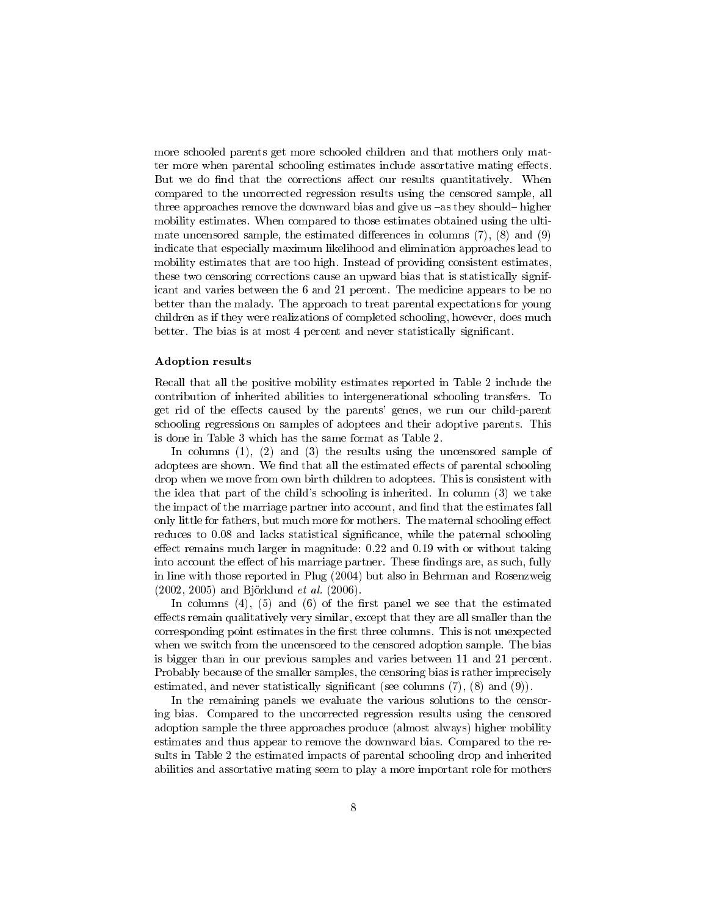more schooled parents get more schooled children and that mothers only matter more when parental schooling estimates include assortative mating effects. But we do find that the corrections affect our results quantitatively. When compared to the uncorrected regression results using the censored sample, all three approaches remove the downward bias and give us  ${a}$  as they should – higher mobility estimates. When compared to those estimates obtained using the ultimate uncensored sample, the estimated differences in columns  $(7)$ ,  $(8)$  and  $(9)$ indicate that especially maximum likelihood and elimination approaches lead to mobility estimates that are too high. Instead of providing consistent estimates, these two censoring corrections cause an upward bias that is statistically significant and varies between the 6 and 21 percent. The medicine appears to be no better than the malady. The approach to treat parental expectations for young children as if they were realizations of completed schooling, however, does much better. The bias is at most 4 percent and never statistically significant.

### Adoption results

Recall that all the positive mobility estimates reported in Table 2 include the contribution of inherited abilities to intergenerational schooling transfers. To get rid of the effects caused by the parents' genes, we run our child-parent schooling regressions on samples of adoptees and their adoptive parents. This is done in Table 3 which has the same format as Table 2.

In columns (1), (2) and (3) the results using the uncensored sample of adoptees are shown. We find that all the estimated effects of parental schooling drop when we move from own birth children to adoptees. This is consistent with the idea that part of the child's schooling is inherited. In column (3) we take the impact of the marriage partner into account, and find that the estimates fall only little for fathers, but much more for mothers. The maternal schooling effect reduces to 0.08 and lacks statistical significance, while the paternal schooling effect remains much larger in magnitude:  $0.22$  and  $0.19$  with or without taking into account the effect of his marriage partner. These findings are, as such, fully in line with those reported in Plug (2004) but also in Behrman and Rosenzweig (2002, 2005) and Björklund et al. (2006).

In columns  $(4)$ ,  $(5)$  and  $(6)$  of the first panel we see that the estimated effects remain qualitatively very similar, except that they are all smaller than the corresponding point estimates in the first three columns. This is not unexpected when we switch from the uncensored to the censored adoption sample. The bias is bigger than in our previous samples and varies between 11 and 21 percent. Probably because of the smaller samples, the censoring bias is rather imprecisely estimated, and never statistically significant (see columns  $(7)$ ,  $(8)$  and  $(9)$ ).

In the remaining panels we evaluate the various solutions to the censoring bias. Compared to the uncorrected regression results using the censored adoption sample the three approaches produce (almost always) higher mobility estimates and thus appear to remove the downward bias. Compared to the results in Table 2 the estimated impacts of parental schooling drop and inherited abilities and assortative mating seem to play a more important role for mothers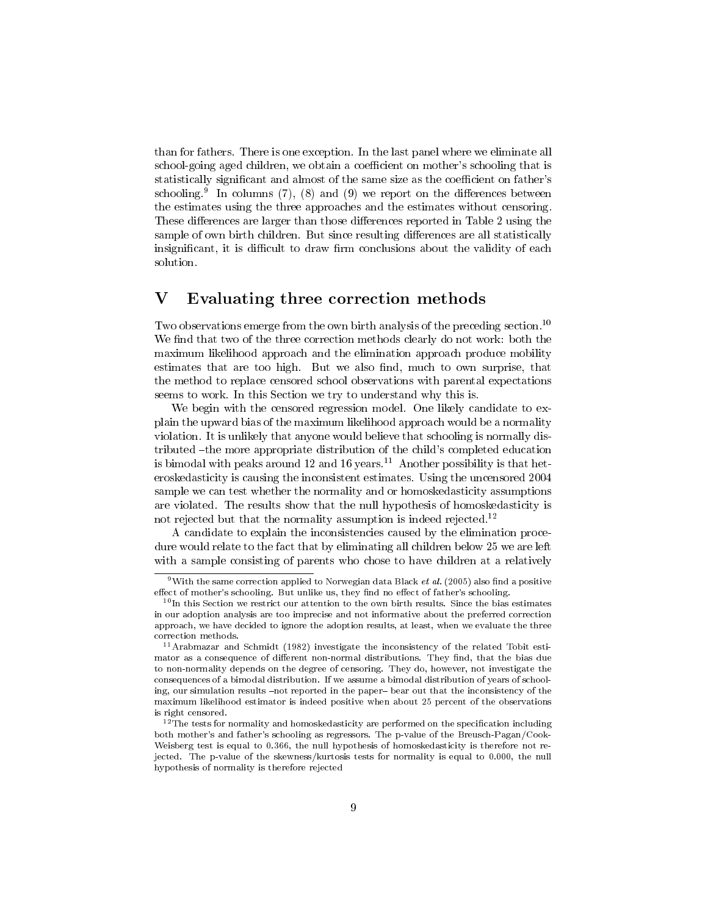than for fathers. There is one exception. In the last panel where we eliminate all school-going aged children, we obtain a coefficient on mother's schooling that is statistically significant and almost of the same size as the coefficient on father's schooling.<sup>9</sup> In columns (7), (8) and (9) we report on the differences between the estimates using the three approaches and the estimates without censoring. These differences are larger than those differences reported in Table 2 using the sample of own birth children. But since resulting differences are all statistically insignificant, it is difficult to draw firm conclusions about the validity of each solution.

## V Evaluating three correction methods

Two observations emerge from the own birth analysis of the preceding section.<sup>10</sup> We find that two of the three correction methods clearly do not work: both the maximum likelihood approach and the elimination approach produce mobility estimates that are too high. But we also find, much to own surprise, that the method to replace censored school observations with parental expectations seems to work. In this Section we try to understand why this is.

We begin with the censored regression model. One likely candidate to explain the upward bias of the maximum likelihood approach would be a normality violation. It is unlikely that anyone would believe that schooling is normally distributed -the more appropriate distribution of the child's completed education is bimodal with peaks around 12 and 16 years.<sup>11</sup> Another possibility is that heteroskedasticity is causing the inconsistent estimates. Using the uncensored 2004 sample we can test whether the normality and or homoskedasticity assumptions are violated. The results show that the null hypothesis of homoskedasticity is not rejected but that the normality assumption is indeed rejected.<sup>12</sup>

A candidate to explain the inconsistencies caused by the elimination procedure would relate to the fact that by eliminating all children below 25 we are left with a sample consisting of parents who chose to have children at a relatively

<sup>&</sup>lt;sup>9</sup>With the same correction applied to Norwegian data Black *et al.* (2005) also find a positive effect of mother's schooling. But unlike us, they find no effect of father's schooling.

 $10$ In this Section we restrict our attention to the own birth results. Since the bias estimates in our adoption analysis are too imprecise and not informative about the preferred correction approach, we have decided to ignore the adoption results, at least, when we evaluate the three correction methods.

<sup>&</sup>lt;sup>11</sup>Arabmazar and Schmidt (1982) investigate the inconsistency of the related Tobit estimator as a consequence of different non-normal distributions. They find, that the bias due to non-normality depends on the degree of censoring. They do, however, not investigate the consequences of a bimodal distribution. If we assume a bimodal distribution of years of schooling, our simulation results -not reported in the paper- bear out that the inconsistency of the maximum likelihood estimator is indeed positive when about 25 percent of the observations is right censored.

 $12$ The tests for normality and homoskedasticity are performed on the specification including both mother's and father's schooling as regressors. The p-value of the Breusch-Pagan/Cook-Weisberg test is equal to 0.366, the null hypothesis of homoskedasticity is therefore not rejected. The p-value of the skewness/kurtosis tests for normality is equal to 0.000, the null hypothesis of normality is therefore rejected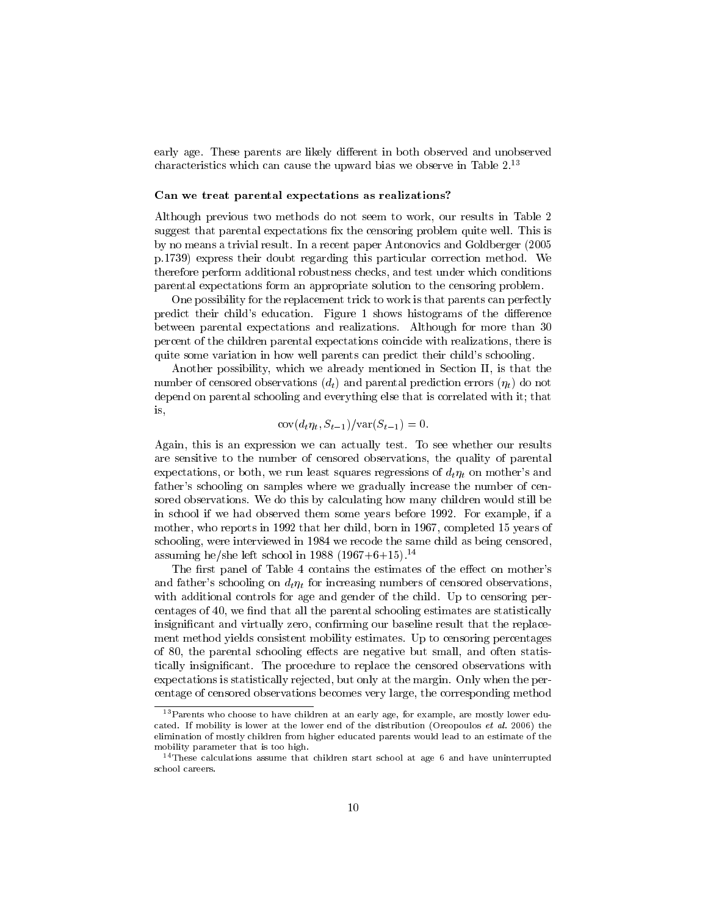early age. These parents are likely different in both observed and unobserved characteristics which can cause the upward bias we observe in Table 2.<sup>13</sup>

#### Can we treat parental expectations as realizations?

Although previous two methods do not seem to work, our results in Table 2 suggest that parental expectations fix the censoring problem quite well. This is by no means a trivial result. In a recent paper Antonovics and Goldberger (2005 p.1739) express their doubt regarding this particular correction method. We therefore perform additional robustness checks, and test under which conditions parental expectations form an appropriate solution to the censoring problem.

One possibility for the replacement trick to work is that parents can perfectly predict their child's education. Figure 1 shows histograms of the difference between parental expectations and realizations. Although for more than 30 percent of the children parental expectations coincide with realizations, there is quite some variation in how well parents can predict their child's schooling.

Another possibility, which we already mentioned in Section II, is that the number of censored observations  $(d_t)$  and parental prediction errors  $(\eta_t)$  do not depend on parental schooling and everything else that is correlated with it; that is,

$$
cov(d_t\eta_t, S_{t-1})/var(S_{t-1}) = 0.
$$

Again, this is an expression we can actually test. To see whether our results are sensitive to the number of censored observations, the quality of parental expectations, or both, we run least squares regressions of  $d_t\eta_t$  on mother's and father's schooling on samples where we gradually increase the number of censored observations. We do this by calculating how many children would still be in school if we had observed them some years before 1992. For example, if a mother, who reports in 1992 that her child, born in 1967, completed 15 years of schooling, were interviewed in 1984 we recode the same child as being censored, assuming he/she left school in 1988  $(1967+6+15)^{14}$ 

The first panel of Table 4 contains the estimates of the effect on mother's and father's schooling on  $d_t \eta_t$  for increasing numbers of censored observations, with additional controls for age and gender of the child. Up to censoring percentages of 40, we find that all the parental schooling estimates are statistically insignificant and virtually zero, confirming our baseline result that the replacement method yields consistent mobility estimates. Up to censoring percentages of 80, the parental schooling effects are negative but small, and often statistically insignicant. The procedure to replace the censored observations with expectations is statistically rejected, but only at the margin. Only when the percentage of censored observations becomes very large, the corresponding method

<sup>&</sup>lt;sup>13</sup> Parents who choose to have children at an early age, for example, are mostly lower educated. If mobility is lower at the lower end of the distribution (Oreopoulos et al. 2006) the elimination of mostly children from higher educated parents would lead to an estimate of the mobility parameter that is too high.

<sup>&</sup>lt;sup>14</sup>These calculations assume that children start school at age 6 and have uninterrupted school careers.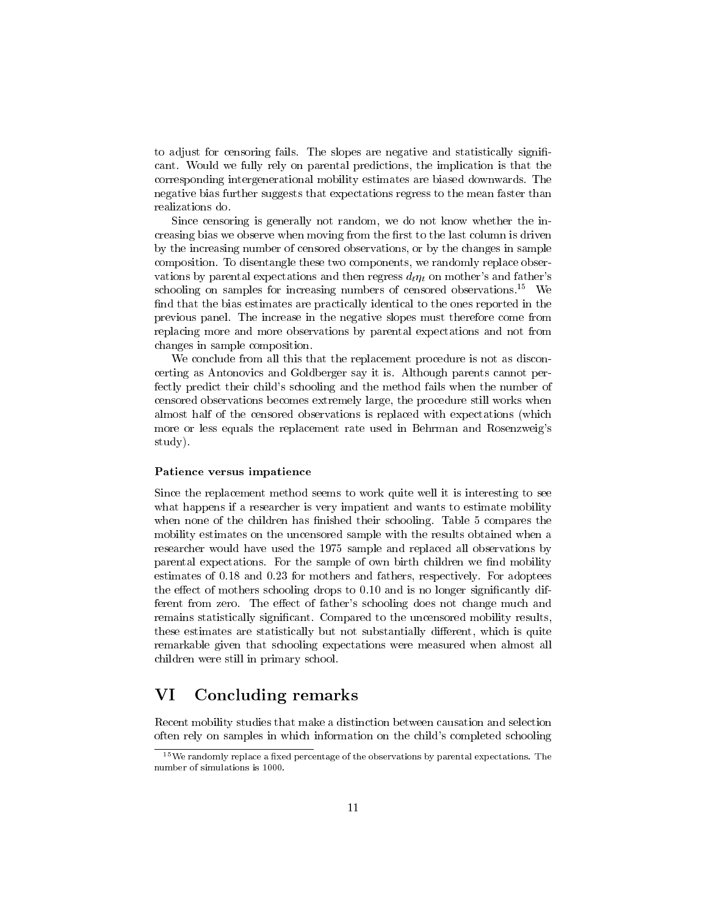to adjust for censoring fails. The slopes are negative and statistically significant. Would we fully rely on parental predictions, the implication is that the corresponding intergenerational mobility estimates are biased downwards. The negative bias further suggests that expectations regress to the mean faster than realizations do.

Since censoring is generally not random, we do not know whether the increasing bias we observe when moving from the first to the last column is driven by the increasing number of censored observations, or by the changes in sample composition. To disentangle these two components, we randomly replace observations by parental expectations and then regress  $d_t \eta_t$  on mother's and father's schooling on samples for increasing numbers of censored observations.<sup>15</sup> We find that the bias estimates are practically identical to the ones reported in the previous panel. The increase in the negative slopes must therefore come from replacing more and more observations by parental expectations and not from changes in sample composition.

We conclude from all this that the replacement procedure is not as disconcerting as Antonovics and Goldberger say it is. Although parents cannot perfectly predict their child's schooling and the method fails when the number of censored observations becomes extremely large, the procedure still works when almost half of the censored observations is replaced with expectations (which more or less equals the replacement rate used in Behrman and Rosenzweig's study).

#### Patience versus impatience

Since the replacement method seems to work quite well it is interesting to see what happens if a researcher is very impatient and wants to estimate mobility when none of the children has finished their schooling. Table 5 compares the mobility estimates on the uncensored sample with the results obtained when a researcher would have used the 1975 sample and replaced all observations by parental expectations. For the sample of own birth children we find mobility estimates of 0.18 and 0.23 for mothers and fathers, respectively. For adoptees the effect of mothers schooling drops to  $0.10$  and is no longer significantly different from zero. The effect of father's schooling does not change much and remains statistically signicant. Compared to the uncensored mobility results, these estimates are statistically but not substantially different, which is quite remarkable given that schooling expectations were measured when almost all children were still in primary school.

## VI Concluding remarks

Recent mobility studies that make a distinction between causation and selection often rely on samples in which information on the child's completed schooling

 $15$ We randomly replace a fixed percentage of the observations by parental expectations. The number of simulations is 1000.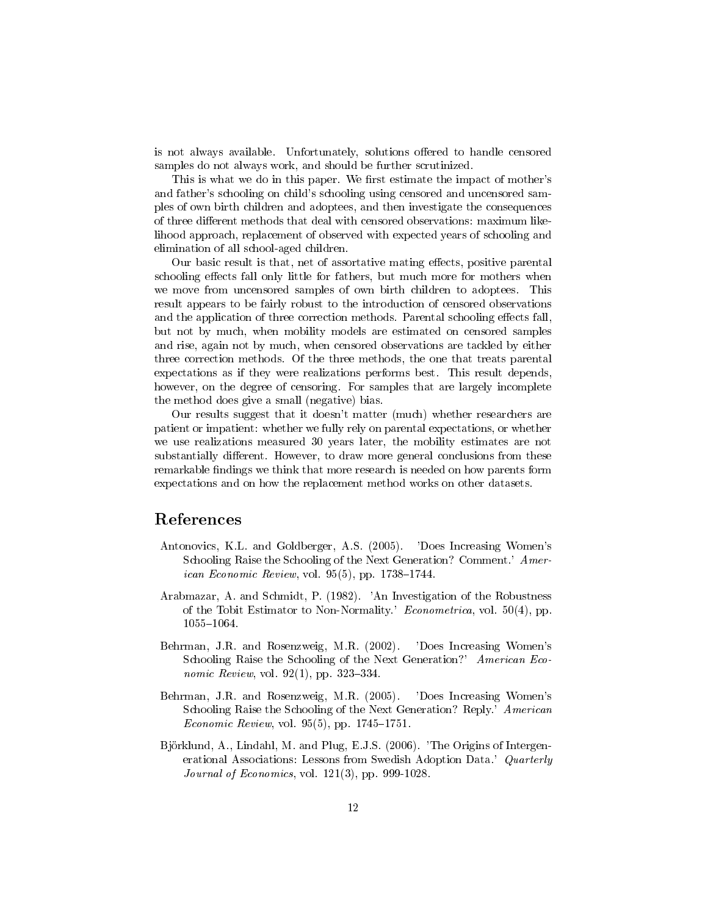is not always available. Unfortunately, solutions offered to handle censored samples do not always work, and should be further scrutinized.

This is what we do in this paper. We first estimate the impact of mother's and father's schooling on child's schooling using censored and uncensored samples of own birth children and adoptees, and then investigate the consequences of three different methods that deal with censored observations: maximum likelihood approach, replacement of observed with expected years of schooling and elimination of all school-aged children.

Our basic result is that, net of assortative mating effects, positive parental schooling effects fall only little for fathers, but much more for mothers when we move from uncensored samples of own birth children to adoptees. This result appears to be fairly robust to the introduction of censored observations and the application of three correction methods. Parental schooling effects fall, but not by much, when mobility models are estimated on censored samples and rise, again not by much, when censored observations are tackled by either three correction methods. Of the three methods, the one that treats parental expectations as if they were realizations performs best. This result depends, however, on the degree of censoring. For samples that are largely incomplete the method does give a small (negative) bias.

Our results suggest that it doesn't matter (much) whether researchers are patient or impatient: whether we fully rely on parental expectations, or whether we use realizations measured 30 years later, the mobility estimates are not substantially different. However, to draw more general conclusions from these remarkable findings we think that more research is needed on how parents form expectations and on how the replacement method works on other datasets.

### References

- Antonovics, K.L. and Goldberger, A.S. (2005). 'Does Increasing Women's Schooling Raise the Schooling of the Next Generation? Comment.' American Economic Review, vol.  $95(5)$ , pp. 1738-1744.
- Arabmazar, A. and Schmidt, P. (1982). 'An Investigation of the Robustness of the Tobit Estimator to Non-Normality.' Econometrica, vol. 50(4), pp. 1055-1064.
- Behrman, J.R. and Rosenzweig, M.R. (2002). 'Does Increasing Women's Schooling Raise the Schooling of the Next Generation?' American Economic Review, vol.  $92(1)$ , pp. 323-334.
- Behrman, J.R. and Rosenzweig, M.R. (2005). 'Does Increasing Women's Schooling Raise the Schooling of the Next Generation? Reply.' American Economic Review, vol.  $95(5)$ , pp.  $1745-1751$ .
- Björklund, A., Lindahl, M. and Plug, E.J.S. (2006). The Origins of Intergenerational Associations: Lessons from Swedish Adoption Data.' Quarterly Journal of Economics, vol. 121(3), pp. 999-1028.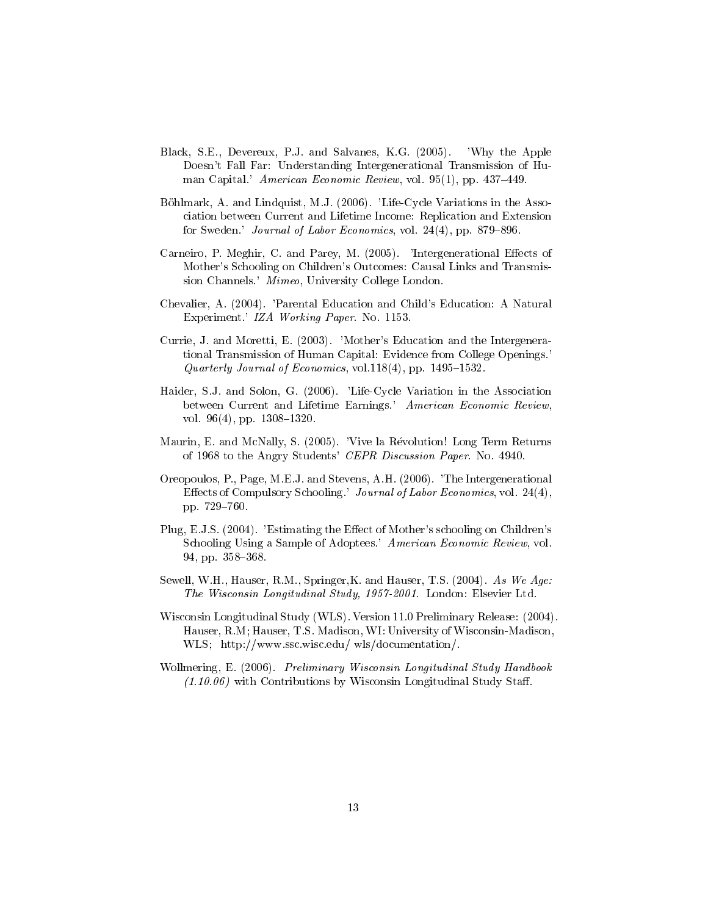- Black, S.E., Devereux, P.J. and Salvanes, K.G. (2005). 'Why the Apple Doesn't Fall Far: Understanding Intergenerational Transmission of Human Capital.' American Economic Review, vol.  $95(1)$ , pp.  $437-449$ .
- Böhlmark, A. and Lindquist, M.J. (2006). 'Life-Cycle Variations in the Association between Current and Lifetime Income: Replication and Extension for Sweden.' *Journal of Labor Economics*, vol.  $24(4)$ , pp. 879–896.
- Carneiro, P. Meghir, C. and Parey, M. (2005). 'Intergenerational Effects of Mother's Schooling on Children's Outcomes: Causal Links and Transmission Channels.' Mimeo, University College London.
- Chevalier, A. (2004). 'Parental Education and Child's Education: A Natural Experiment.' IZA Working Paper. No. 1153.
- Currie, J. and Moretti, E. (2003). 'Mother's Education and the Intergenerational Transmission of Human Capital: Evidence from College Openings.' Quarterly Journal of Economics, vol.118(4), pp. 1495–1532.
- Haider, S.J. and Solon, G. (2006). 'Life-Cycle Variation in the Association between Current and Lifetime Earnings.' American Economic Review, vol. 96 $(4)$ , pp. 1308-1320.
- Maurin, E. and McNally, S. (2005). 'Vive la Revolution! Long Term Returns of 1968 to the Angry Students' CEPR Discussion Paper. No. 4940.
- Oreopoulos, P., Page, M.E.J. and Stevens, A.H. (2006). 'The Intergenerational Effects of Compulsory Schooling.' Journal of Labor Economics, vol. 24(4), pp. 729-760.
- Plug, E.J.S. (2004). 'Estimating the Effect of Mother's schooling on Children's Schooling Using a Sample of Adoptees.' American Economic Review, vol. 94, pp. 358-368.
- Sewell, W.H., Hauser, R.M., Springer, K. and Hauser, T.S. (2004). As We Age: The Wisconsin Longitudinal Study, 1957-2001. London: Elsevier Ltd.
- Wisconsin Longitudinal Study (WLS). Version 11.0 Preliminary Release: (2004). Hauser, R.M; Hauser, T.S. Madison, WI: University of Wisconsin-Madison, WLS; http://www.ssc.wisc.edu/ wls/documentation/.
- Wollmering, E. (2006). Preliminary Wisconsin Longitudinal Study Handbook  $(1.10.06)$  with Contributions by Wisconsin Longitudinal Study Staff.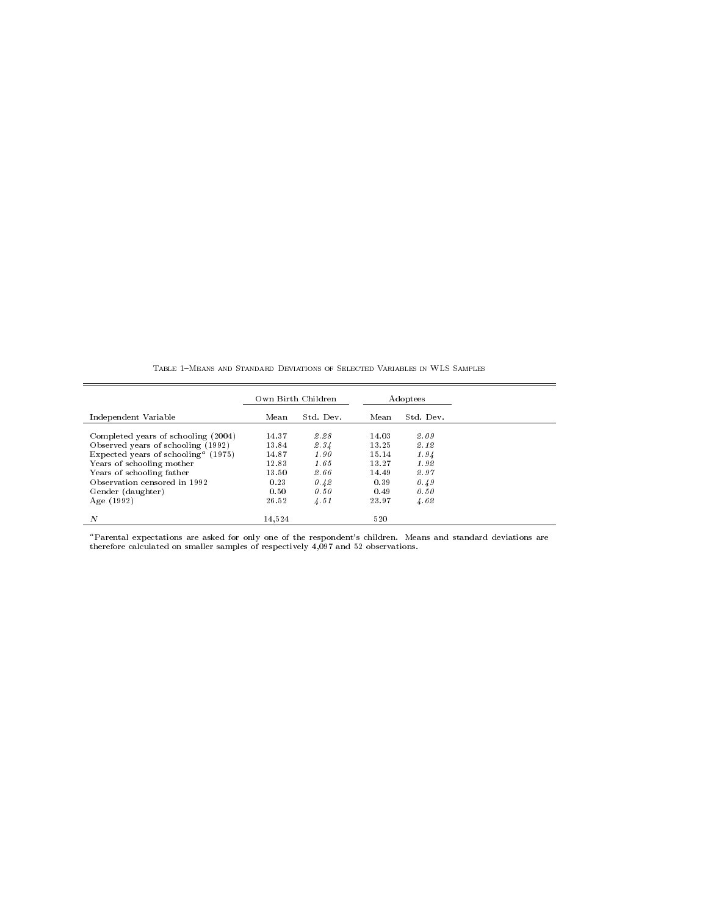Own Birth Children Adoptees Independent Variable Mean Std. Dev. Mean Std. Dev. Completed years of schooling (2004) 14.37 2.28 14.03 2.09<br>Observed years of schooling (1992) 13.84 2.34 13.25 2.12<br>Expected years of schooling<sup>a</sup> (1975) 14.87 1.90 15.14 1.94 Expected years of schooling<sup>a</sup> (1975)<br>
Years of schooling mother<br>
Years of schooling mother<br>
Years of schooling father<br>  $12.83$ <br>  $1.65$ <br>  $13.27$ <br>  $1.92$ <br>  $2.66$ <br>  $14.49$ <br>  $2.97$  $\begin{tabular}{lcccccc} Years of schooling father & & & & 13.50 & & & 2.66 & & 14.49 & & 2.97 \\ Observation censored in 1992 & & & & 0.23 & & 0.42 & & 0.39 & & 0.49 \\ \text{Gender (daughter)} & & & & & 0.50 & & 0.50 & & 0.49 & & 0.50 \\ \end{tabular}$ Observation censored in 1992  $0.23$   $0.42$  0.39<br>
Gender (daughter)  $0.50$   $0.50$   $0.49$  $\begin{array}{cccccccccc} \text{Gender (daughter)} & & & & 0.50 & & 0.50 & & 0.49 & & 0.50 \\ \text{Age (1992)} & & & & & 26.52 & & 4.51 & & 23.97 & & 4.62 \\ \end{array}$  $Age (1992)$  $N$  14,524 520

Table 1{Means and Standard Deviations of Selected Variables in WLS Samples

<sup>a</sup> Parental expectations are asked for only one of the respondent's children. Means and standard deviations are therefore calculated on smaller samples of respectively 4,097 and 52 observations.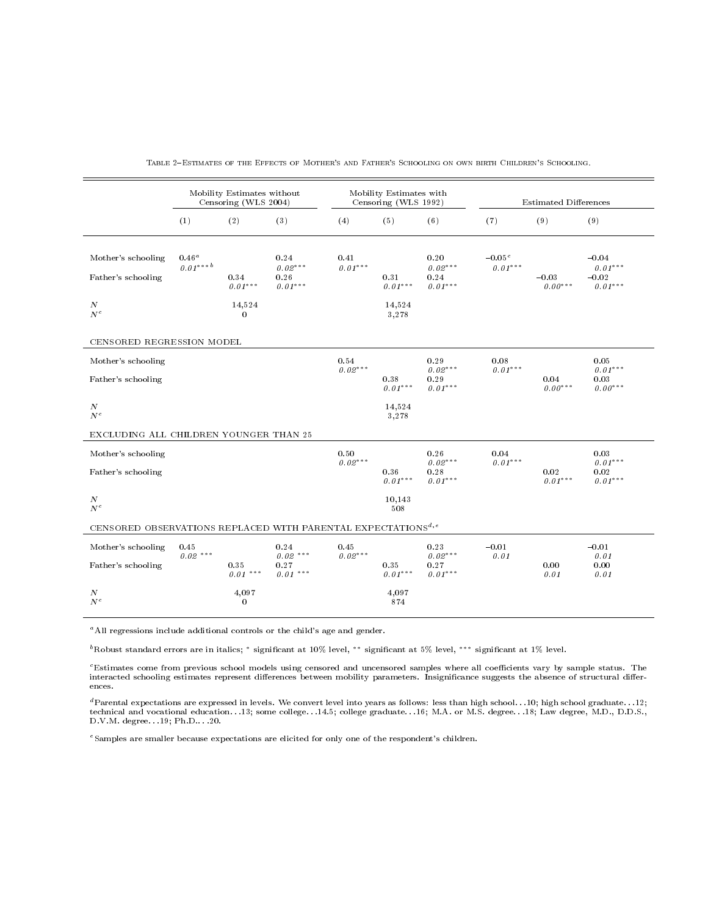|                                                                         | Mobility Estimates without<br>Censoring (WLS 2004) |                                  |                                                    | Mobility Estimates with<br>Censoring (WLS 1992) |                               |                                                    | <b>Estimated Differences</b> |                      |                                                          |
|-------------------------------------------------------------------------|----------------------------------------------------|----------------------------------|----------------------------------------------------|-------------------------------------------------|-------------------------------|----------------------------------------------------|------------------------------|----------------------|----------------------------------------------------------|
|                                                                         | (1)                                                | (2)                              | (3)                                                | (4)                                             | (5)                           | (6)                                                | (7)                          | (9)                  | (9)                                                      |
| Mother's schooling<br>Father's schooling                                | 0.46 <sup>a</sup><br>$0.01***$                     | 0.34<br>$0.01^{\ast\ast\ast}$    | 0.24<br>$0.02***$<br>0.26<br>$0.01^{\ast\ast\ast}$ | 0.41<br>$0.01***$                               | 0.31<br>$0.01***$             | 0.20<br>$0.02***$<br>0.24<br>$0.01***$             | $-0.05^{c}$<br>$0.01***$     | $-0.03$<br>$0.00***$ | $-0.04$<br>$0.01***$<br>$-0.02$<br>$0.01^{\ast\ast\ast}$ |
| N<br>$N^c$                                                              |                                                    | 14,524<br>$\theta$               |                                                    |                                                 | 14,524<br>3,278               |                                                    |                              |                      |                                                          |
| CENSORED REGRESSION MODEL                                               |                                                    |                                  |                                                    |                                                 |                               |                                                    |                              |                      |                                                          |
| Mother's schooling<br>Father's schooling                                |                                                    |                                  |                                                    | 0.54<br>$0.02***$                               | 0.38<br>$0.01***$             | 0.29<br>$0.02***$<br>0.29<br>$0.01***$             | 0.08<br>$0.01***$            | 0.04<br>$0.00***$    | 0.05<br>$0.01***$<br>0.03<br>$0.00***$                   |
| $\cal N$<br>$N^c$                                                       |                                                    |                                  |                                                    |                                                 | 14,524<br>3,278               |                                                    |                              |                      |                                                          |
| EXCLUDING ALL CHILDREN YOUNGER THAN 25                                  |                                                    |                                  |                                                    |                                                 |                               |                                                    |                              |                      |                                                          |
| Mother's schooling<br>Father's schooling                                |                                                    |                                  |                                                    | 0.50<br>$0.02***$                               | 0.36<br>$0.01***$             | 0.26<br>$0.02***$<br>0.28<br>$0.01^{\ast\ast\ast}$ | 0.04<br>$0.01***$            | 0.02<br>$0.01***$    | 0.03<br>$0.01***$<br>0.02<br>$0.01^{\ast\ast\ast}$       |
| $\cal N$<br>$N^{c}$                                                     |                                                    |                                  |                                                    |                                                 | 10,143<br>508                 |                                                    |                              |                      |                                                          |
| CENSORED OBSERVATIONS REPLACED WITH PARENTAL EXPECTATIONS $\real^{d,e}$ |                                                    |                                  |                                                    |                                                 |                               |                                                    |                              |                      |                                                          |
| Mother's schooling                                                      | 0.45<br>$0.02$ ***                                 |                                  | 0.24<br>$0.02$ ***                                 | 0.45<br>$0.02***$                               |                               | 0.23<br>$0.02***$                                  | $-0.01$<br>0.01              |                      | $-0.01$<br>0.01                                          |
| Father's schooling                                                      |                                                    | 0.35<br>$0.01$ $^{\ast\ast\ast}$ | 0.27<br>$0.01$ $^{\ast\ast\ast}$                   |                                                 | 0.35<br>$0.01^{\ast\ast\ast}$ | 0.27<br>$0.01^{\ast\ast\ast}$                      |                              | 0.00<br>0.01         | 0.00<br>0.01                                             |
| $\cal N$<br>$N^c$                                                       |                                                    | 4,097<br>$\bf{0}$                |                                                    |                                                 | 4,097<br>874                  |                                                    |                              |                      |                                                          |

TABLE 2-ESTIMATES OF THE EFFECTS OF MOTHER'S AND FATHER'S SCHOOLING ON OWN BIRTH CHILDREN'S SCHOOLING.

<sup>a</sup> All regressions include additional controls or the child's age and gender.

 $^b$ Robust standard errors are in italics; \* significant at 10% level, \*\* significant at 5% level, \*\*\* significant at 1% level.

<sup>c</sup>Estimates come from previous school models using censored and uncensored samples where all coefficients vary by sample status. The<br>interacted schooling estimates represent differences between mobility parameters. Insign ences.

<sup>d</sup> Parental expectations are expressed in levels. We convert level into years as follows: less than high school...10; high school graduate...12;<br>technical and vocational education...13; some college...14.5; college gradu D.V.M. degree...19; Ph.D....20.

<sup>e</sup>Samples are smaller because expectations are elicited for only one of the respondent's children.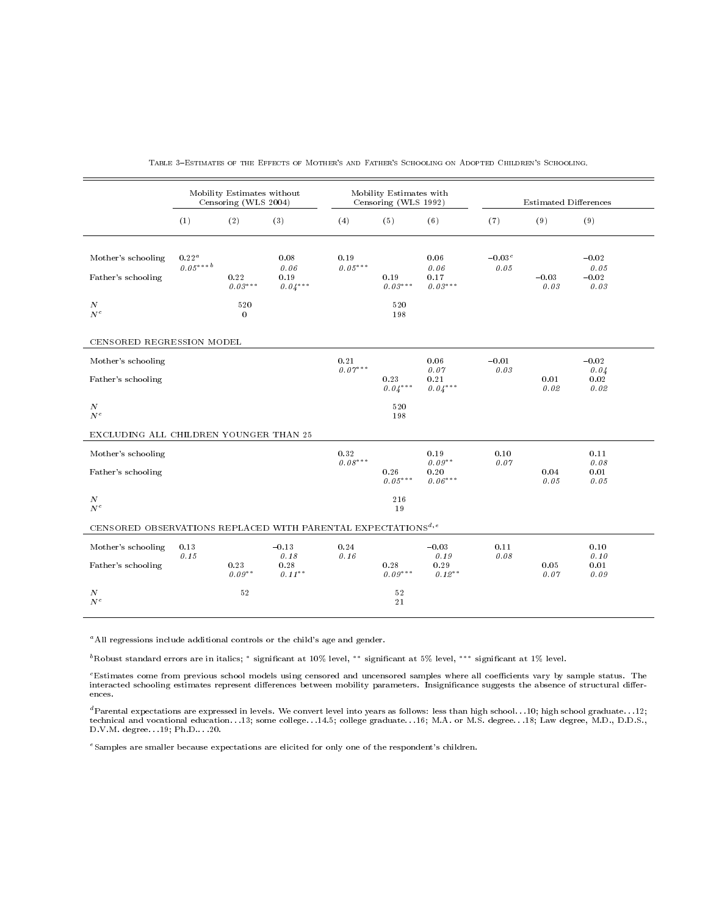|                                                                         | Mobility Estimates without<br>Censoring (WLS 2004) |                   |                                               | Mobility Estimates with<br>Censoring (WLS 1992) |                   |                                        | <b>Estimated Differences</b> |                 |                                    |
|-------------------------------------------------------------------------|----------------------------------------------------|-------------------|-----------------------------------------------|-------------------------------------------------|-------------------|----------------------------------------|------------------------------|-----------------|------------------------------------|
|                                                                         | (1)                                                | (2)               | (3)                                           | (4)                                             | (5)               | (6)                                    | (7)                          | (9)             | (9)                                |
| Mother's schooling<br>Father's schooling                                | $0.22^a$<br>$0.05***$ <sup>b</sup>                 | 0.22<br>$0.03***$ | 0.08<br>0.06<br>0.19<br>$0.04^{\ast\ast\ast}$ | 0.19<br>$0.05***$                               | 0.19<br>$0.03***$ | 0.06<br>0.06<br>0.17<br>$0.03***$      | $-0.03c$<br>0.05             | $-0.03$<br>0.03 | $-0.02$<br>0.05<br>$-0.02$<br>0.03 |
| N<br>$N^c$                                                              |                                                    | 520<br>$\bf{0}$   |                                               |                                                 | 520<br>198        |                                        |                              |                 |                                    |
| CENSORED REGRESSION MODEL                                               |                                                    |                   |                                               |                                                 |                   |                                        |                              |                 |                                    |
| Mother's schooling<br>Father's schooling                                |                                                    |                   |                                               | 0.21<br>$0.07***$                               | 0.23<br>$0.04***$ | 0.06<br>0.07<br>0.21<br>$0.04***$      | $-0.01$<br>0.03              | 0.01<br>0.02    | $-0.02$<br>0.04<br>0.02<br>0.02    |
| $\cal N$<br>$N^c$                                                       |                                                    |                   |                                               |                                                 | 520<br>198        |                                        |                              |                 |                                    |
| EXCLUDING ALL CHILDREN YOUNGER THAN 25                                  |                                                    |                   |                                               |                                                 |                   |                                        |                              |                 |                                    |
| Mother's schooling<br>Father's schooling                                |                                                    |                   |                                               | 0.32<br>$0.08***$                               | 0.26<br>$0.05***$ | 0.19<br>$0.09***$<br>0.20<br>$0.06***$ | 0.10<br>0.07                 | 0.04<br>0.05    | 0.11<br>0.08<br>0.01<br>0.05       |
| N<br>$N^c$                                                              |                                                    |                   |                                               |                                                 | 216<br>19         |                                        |                              |                 |                                    |
| CENSORED OBSERVATIONS REPLACED WITH PARENTAL EXPECTATIONS $\real^{d,e}$ |                                                    |                   |                                               |                                                 |                   |                                        |                              |                 |                                    |
| Mother's schooling<br>Father's schooling                                | 0.13<br>0.15                                       | 0.23<br>$0.09***$ | $-0.13$<br>0.18<br>0.28<br>$0.11***$          | 0.24<br>0.16                                    | 0.28<br>$0.09***$ | $-0.03$<br>$0.19$<br>0.29<br>$0.12***$ | 0.11<br>0.08                 | 0.05<br>0.07    | 0.10<br>0.10<br>0.01<br>0.09       |
| $\cal N$<br>$N^c$                                                       |                                                    | 52                |                                               |                                                 | 52<br>21          |                                        |                              |                 |                                    |

Table 3{Estimates of the Effects of Mother's and Father's Schooling on Adopted Children's Schooling.

<sup>a</sup> All regressions include additional controls or the child's age and gender.

 $^b$ Robust standard errors are in italics; \* significant at 10% level, \*\* significant at 5% level, \*\*\* significant at 1% level.

<sup>c</sup>Estimates come from previous school models using censored and uncensored samples where all coefficients vary by sample status. The interacted schooling estimates represent differences between mobility parameters. Insignificance suggests the absence of structural differences.

<sup>d</sup> Parental expectations are expressed in levels. We convert level into years as follows: less than high school...10; high school graduate...12; technical and vocational education...13; some college...14.5; college gradu

<sup>e</sup>Samples are smaller because expectations are elicited for only one of the respondent's children.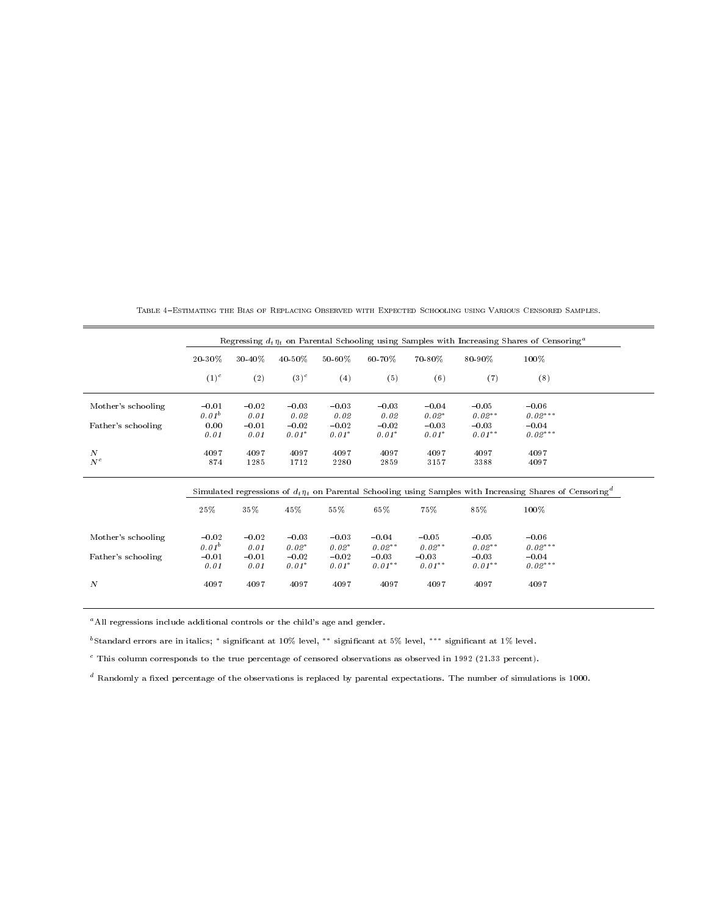|                    | Regressing $d_t \eta_t$ on Parental Schooling using Samples with Increasing Shares of Censoring <sup>a</sup> |         |             |         |           |           |             |                                                                                                                            |  |
|--------------------|--------------------------------------------------------------------------------------------------------------|---------|-------------|---------|-----------|-----------|-------------|----------------------------------------------------------------------------------------------------------------------------|--|
|                    | 20-30%                                                                                                       | 30-40%  | $40 - 50\%$ | 50-60%  | 60-70%    | 70-80%    | $80 - 90\%$ | 100%                                                                                                                       |  |
|                    | $(1)^c$                                                                                                      | (2)     | $(3)^c$     | (4)     | (5)       | (6)       | (7)         | (8)                                                                                                                        |  |
| Mother's schooling | $-0.01$                                                                                                      | $-0.02$ | $-0.03$     | $-0.03$ | $-0.03$   | $-0.04$   | $-0.05$     | $-0.06$                                                                                                                    |  |
|                    | 0.01 <sup>b</sup>                                                                                            | 0.01    | 0.02        | 0.02    | 0.02      | $0.02*$   | $0.02***$   | $0.02***$                                                                                                                  |  |
| Father's schooling | 0.00                                                                                                         | $-0.01$ | $-0.02$     | $-0.02$ | $-0.02$   | $-0.03$   | $-0.03$     | $-0.04$                                                                                                                    |  |
|                    | 0.01                                                                                                         | 0.01    | $0.01*$     | $0.01*$ | $0.01*$   | $0.01*$   | $0.01***$   | $0.02***$                                                                                                                  |  |
| $\boldsymbol{N}$   | 4097                                                                                                         | 4097    | 4097        | 4097    | 4097      | 4097      | 4097        | 4097                                                                                                                       |  |
| $N^{c}$            | 874                                                                                                          | 1285    | 1712        | 2280    | 2859      | 3157      | 3388        | 4097                                                                                                                       |  |
|                    |                                                                                                              |         |             |         |           |           |             | Simulated regressions of $d_t \eta_t$ on Parental Schooling using Samples with Increasing Shares of Censoring <sup>d</sup> |  |
|                    | 25%                                                                                                          | 35%     | 45%         | 55%     | 65%       | 75%       | 85%         | 100%                                                                                                                       |  |
| Mother's schooling | $-0.02$                                                                                                      | $-0.02$ | $-0.03$     | $-0.03$ | $-0.04$   | $-0.05$   | $-0.05$     | $-0.06$                                                                                                                    |  |
|                    | 0.01 <sup>b</sup>                                                                                            | 0.01    | $0.02*$     | $0.02*$ | $0.02***$ | $0.02***$ | $0.02***$   | $0.02***$                                                                                                                  |  |
| Father's schooling | $-0.01$                                                                                                      | $-0.01$ | $-0.02$     | $-0.02$ | $-0.03$   | $-0.03$   | $-0.03$     | $-0.04$                                                                                                                    |  |
|                    | 0.01                                                                                                         | 0.01    | $0.01*$     | $0.01*$ | $0.01***$ | $0.01***$ | $0.01***$   | $0.02***$                                                                                                                  |  |
| $\boldsymbol{N}$   | 4097                                                                                                         | 4097    | 4097        | 4097    | 4097      | 4097      | 4097        | 4097                                                                                                                       |  |

Table 4{Estimating the Bias of Replacing Observed with Expected Schooling using Various Censored Samples.

 $^a$  All regressions include additional controls or the child's age and gender.

 $b$ Standard errors are in italics; \* significant at 10% level, \*\* significant at 5% level, \*\*\* significant at 1% level.

 $\degree$  This column corresponds to the true percentage of censored observations as observed in 1992 (21.33 percent).

 $^d$  Randomly a fixed percentage of the observations is replaced by parental expectations. The number of simulations is 1000.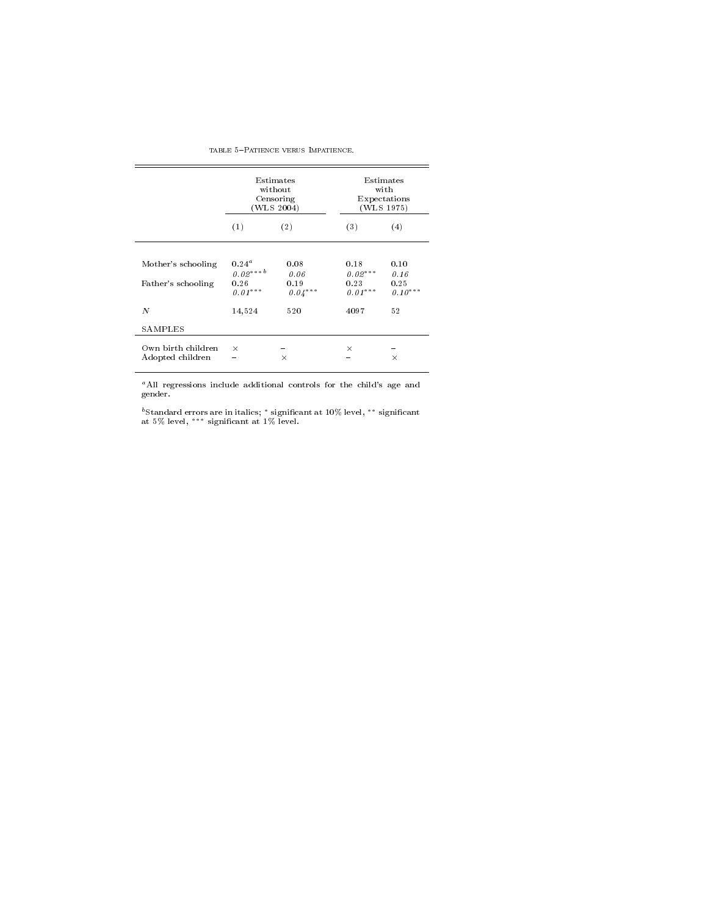#### TABLE 5-PATIENCE VERUS IMPATIENCE.

|                    |                   | Estimates<br>without<br>Censoring<br>(WLS 2004) | Estimates<br>with<br>Expectations<br>(WLS 1975) |              |  |
|--------------------|-------------------|-------------------------------------------------|-------------------------------------------------|--------------|--|
|                    | (1)               | (2)                                             | (3)                                             | (4)          |  |
|                    |                   |                                                 |                                                 |              |  |
| Mother's schooling | 0.24 <sup>a</sup> | 0.08                                            | 0.18                                            | 0.10         |  |
|                    | $0.02***$<br>0.26 | 0.06<br>0.19                                    | $0.02***$<br>0.23                               | 0.16<br>0.25 |  |
| Father's schooling | $0.01***$         | $0.04***$                                       | $0.01***$                                       | $0.10***$    |  |
|                    |                   |                                                 |                                                 |              |  |
| N                  | 14,524            | 520                                             | 4097                                            | 52           |  |
| SAMPLES            |                   |                                                 |                                                 |              |  |
| Own birth children | $\times$          |                                                 | $\times$                                        |              |  |
| Adopted children   |                   | $\times$                                        |                                                 | $\times$     |  |
|                    |                   |                                                 |                                                 |              |  |

<sup>a</sup> All regressions include additional controls for the child's age and gender.

 $^{b}$ Standard errors are in italics;  $^{*}$  significant at 10% level,  $^{**}$  significant at 1% level.